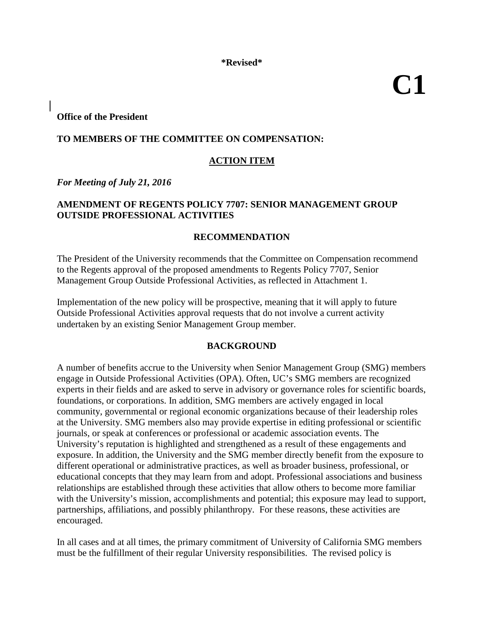**\*Revised\***

**C1** 

**Office of the President**

## **TO MEMBERS OF THE COMMITTEE ON COMPENSATION:**

# **ACTION ITEM**

*For Meeting of July 21, 2016* 

## **AMENDMENT OF REGENTS POLICY 7707: SENIOR MANAGEMENT GROUP OUTSIDE PROFESSIONAL ACTIVITIES**

#### **RECOMMENDATION**

The President of the University recommends that the Committee on Compensation recommend to the Regents approval of the proposed amendments to Regents Policy 7707, Senior Management Group Outside Professional Activities, as reflected in Attachment 1.

Implementation of the new policy will be prospective, meaning that it will apply to future Outside Professional Activities approval requests that do not involve a current activity undertaken by an existing Senior Management Group member.

#### **BACKGROUND**

A number of benefits accrue to the University when Senior Management Group (SMG) members engage in Outside Professional Activities (OPA). Often, UC's SMG members are recognized experts in their fields and are asked to serve in advisory or governance roles for scientific boards, foundations, or corporations. In addition, SMG members are actively engaged in local community, governmental or regional economic organizations because of their leadership roles at the University. SMG members also may provide expertise in editing professional or scientific journals, or speak at conferences or professional or academic association events. The University's reputation is highlighted and strengthened as a result of these engagements and exposure. In addition, the University and the SMG member directly benefit from the exposure to different operational or administrative practices, as well as broader business, professional, or educational concepts that they may learn from and adopt. Professional associations and business relationships are established through these activities that allow others to become more familiar with the University's mission, accomplishments and potential; this exposure may lead to support, partnerships, affiliations, and possibly philanthropy. For these reasons, these activities are encouraged.

In all cases and at all times, the primary commitment of University of California SMG members must be the fulfillment of their regular University responsibilities. The revised policy is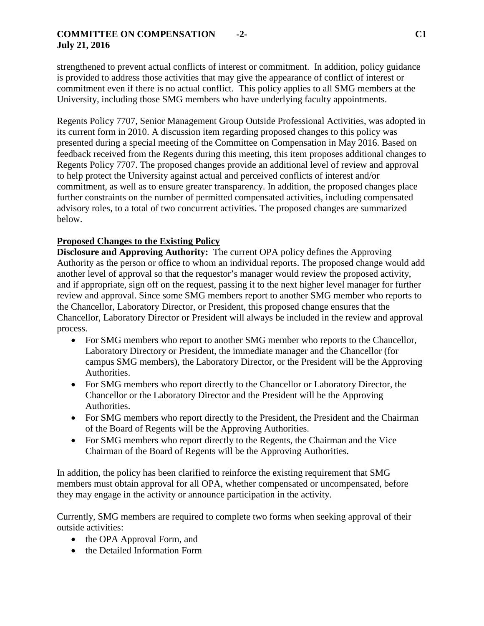## **COMMITTEE ON COMPENSATION -2- C1 July 21, 2016**

strengthened to prevent actual conflicts of interest or commitment. In addition, policy guidance is provided to address those activities that may give the appearance of conflict of interest or commitment even if there is no actual conflict. This policy applies to all SMG members at the University, including those SMG members who have underlying faculty appointments.

Regents Policy 7707, Senior Management Group Outside Professional Activities, was adopted in its current form in 2010. A discussion item regarding proposed changes to this policy was presented during a special meeting of the Committee on Compensation in May 2016. Based on feedback received from the Regents during this meeting, this item proposes additional changes to Regents Policy 7707. The proposed changes provide an additional level of review and approval to help protect the University against actual and perceived conflicts of interest and/or commitment, as well as to ensure greater transparency. In addition, the proposed changes place further constraints on the number of permitted compensated activities, including compensated advisory roles, to a total of two concurrent activities. The proposed changes are summarized below.

## **Proposed Changes to the Existing Policy**

**Disclosure and Approving Authority:** The current OPA policy defines the Approving Authority as the person or office to whom an individual reports. The proposed change would add another level of approval so that the requestor's manager would review the proposed activity, and if appropriate, sign off on the request, passing it to the next higher level manager for further review and approval. Since some SMG members report to another SMG member who reports to the Chancellor, Laboratory Director, or President, this proposed change ensures that the Chancellor, Laboratory Director or President will always be included in the review and approval process.

- For SMG members who report to another SMG member who reports to the Chancellor, Laboratory Directory or President, the immediate manager and the Chancellor (for campus SMG members), the Laboratory Director, or the President will be the Approving Authorities.
- For SMG members who report directly to the Chancellor or Laboratory Director, the Chancellor or the Laboratory Director and the President will be the Approving Authorities.
- For SMG members who report directly to the President, the President and the Chairman of the Board of Regents will be the Approving Authorities.
- For SMG members who report directly to the Regents, the Chairman and the Vice Chairman of the Board of Regents will be the Approving Authorities.

In addition, the policy has been clarified to reinforce the existing requirement that SMG members must obtain approval for all OPA, whether compensated or uncompensated, before they may engage in the activity or announce participation in the activity.

Currently, SMG members are required to complete two forms when seeking approval of their outside activities:

- the OPA Approval Form, and
- the Detailed Information Form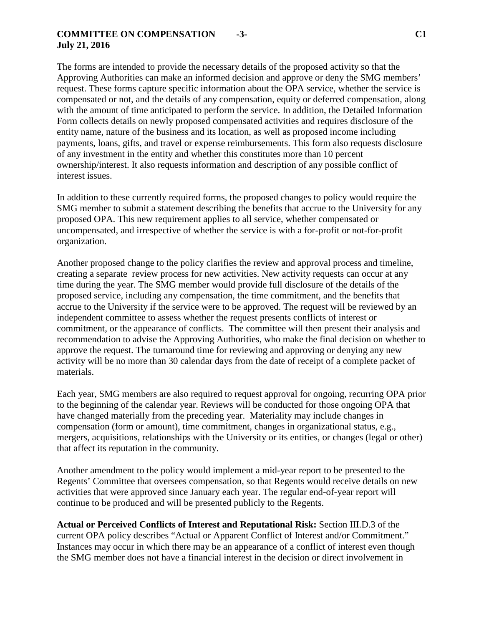#### **COMMITTEE ON COMPENSATION -3- C1 July 21, 2016**

The forms are intended to provide the necessary details of the proposed activity so that the Approving Authorities can make an informed decision and approve or deny the SMG members' request. These forms capture specific information about the OPA service, whether the service is compensated or not, and the details of any compensation, equity or deferred compensation, along with the amount of time anticipated to perform the service. In addition, the Detailed Information Form collects details on newly proposed compensated activities and requires disclosure of the entity name, nature of the business and its location, as well as proposed income including payments, loans, gifts, and travel or expense reimbursements. This form also requests disclosure of any investment in the entity and whether this constitutes more than 10 percent ownership/interest. It also requests information and description of any possible conflict of interest issues.

In addition to these currently required forms, the proposed changes to policy would require the SMG member to submit a statement describing the benefits that accrue to the University for any proposed OPA. This new requirement applies to all service, whether compensated or uncompensated, and irrespective of whether the service is with a for-profit or not-for-profit organization.

Another proposed change to the policy clarifies the review and approval process and timeline, creating a separate review process for new activities. New activity requests can occur at any time during the year. The SMG member would provide full disclosure of the details of the proposed service, including any compensation, the time commitment, and the benefits that accrue to the University if the service were to be approved. The request will be reviewed by an independent committee to assess whether the request presents conflicts of interest or commitment, or the appearance of conflicts. The committee will then present their analysis and recommendation to advise the Approving Authorities, who make the final decision on whether to approve the request. The turnaround time for reviewing and approving or denying any new activity will be no more than 30 calendar days from the date of receipt of a complete packet of materials.

Each year, SMG members are also required to request approval for ongoing, recurring OPA prior to the beginning of the calendar year. Reviews will be conducted for those ongoing OPA that have changed materially from the preceding year. Materiality may include changes in compensation (form or amount), time commitment, changes in organizational status, e.g., mergers, acquisitions, relationships with the University or its entities, or changes (legal or other) that affect its reputation in the community.

Another amendment to the policy would implement a mid-year report to be presented to the Regents' Committee that oversees compensation, so that Regents would receive details on new activities that were approved since January each year. The regular end-of-year report will continue to be produced and will be presented publicly to the Regents.

**Actual or Perceived Conflicts of Interest and Reputational Risk:** Section III.D.3 of the current OPA policy describes "Actual or Apparent Conflict of Interest and/or Commitment." Instances may occur in which there may be an appearance of a conflict of interest even though the SMG member does not have a financial interest in the decision or direct involvement in